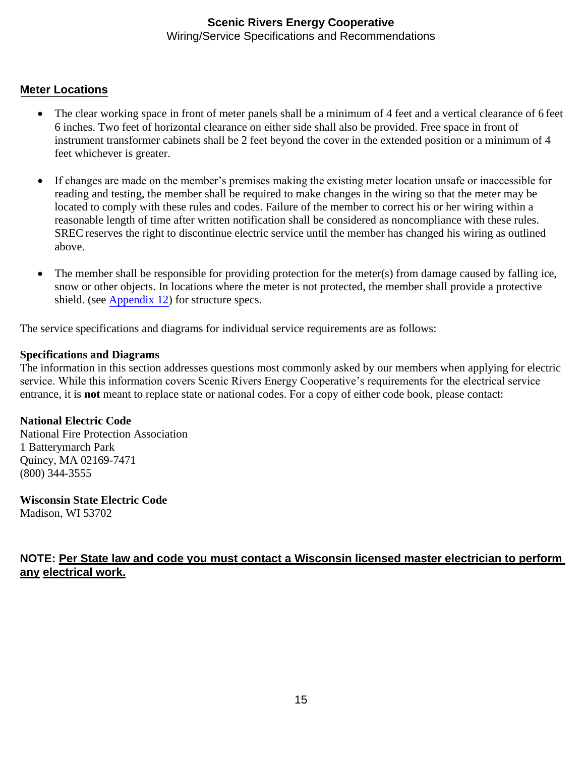#### **Meter Locations**

- The clear working space in front of meter panels shall be a minimum of 4 feet and a vertical clearance of 6 feet 6 inches. Two feet of horizontal clearance on either side shall also be provided. Free space in front of instrument transformer cabinets shall be 2 feet beyond the cover in the extended position or a minimum of 4 feet whichever is greater.
- If changes are made on the member's premises making the existing meter location unsafe or inaccessible for reading and testing, the member shall be required to make changes in the wiring so that the meter may be located to comply with these rules and codes. Failure of the member to correct his or her wiring within a reasonable length of time after written notification shall be considered as noncompliance with these rules. SREC reserves the right to discontinue electric service until the member has changed his wiring as outlined above.
- The member shall be responsible for providing protection for the meter(s) from damage caused by falling ice, snow or other objects. In locations where the meter is not protected, the member shall provide a protective shield. (see Appendix 12) for structure specs.

The service specifications and diagrams for individual service requirements are as follows:

#### **Specifications and Diagrams**

The information in this section addresses questions most commonly asked by our members when applying for electric service. While this information covers Scenic Rivers Energy Cooperative's requirements for the electrical service entrance, it is **not** meant to replace state or national codes. For a copy of either code book, please contact:

#### **National Electric Code**

National Fire Protection Association 1 Batterymarch Park Quincy, MA 02169-7471 (800) 344-3555

**Wisconsin State Electric Code** Madison, WI 53702

#### **NOTE: Per State law and code you must contact a Wisconsin licensed master electrician to perform any electrical work.**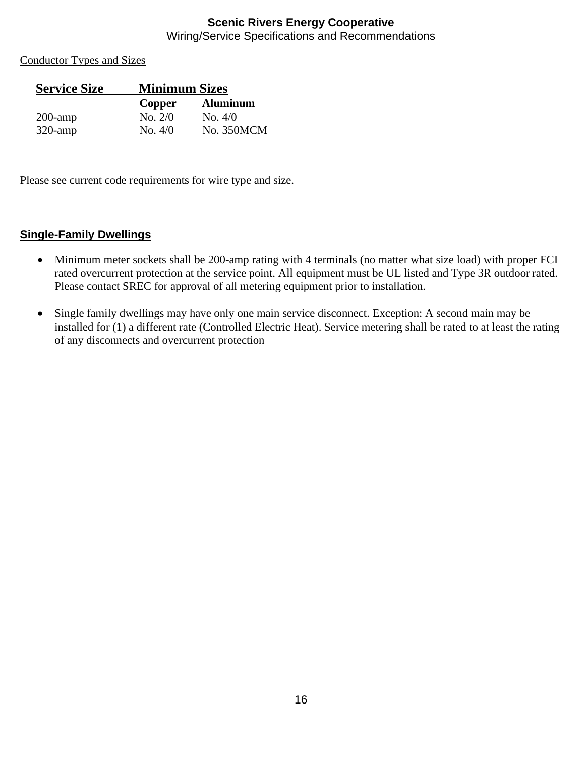Conductor Types and Sizes

| <b>Service Size</b> | <b>Minimum Sizes</b> |                 |
|---------------------|----------------------|-----------------|
|                     | Copper               | <b>Aluminum</b> |
| $200$ -amp          | No. $2/0$            | No. 4/0         |
| $320$ -amp          | $\mathrm{No.}4/0$    | No. 350MCM      |

Please see current code requirements for wire type and size.

#### **Single-Family Dwellings**

- Minimum meter sockets shall be 200-amp rating with 4 terminals (no matter what size load) with proper FCI rated overcurrent protection at the service point. All equipment must be UL listed and Type 3R outdoor rated. Please contact SREC for approval of all metering equipment prior to installation.
- Single family dwellings may have only one main service disconnect. Exception: A second main may be installed for (1) a different rate (Controlled Electric Heat). Service metering shall be rated to at least the rating of any disconnects and overcurrent protection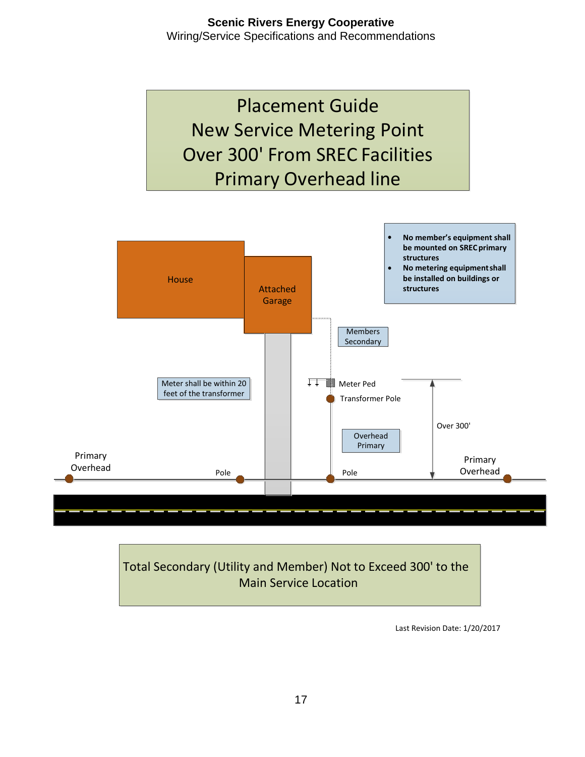



Last Revision Date: 1/20/2017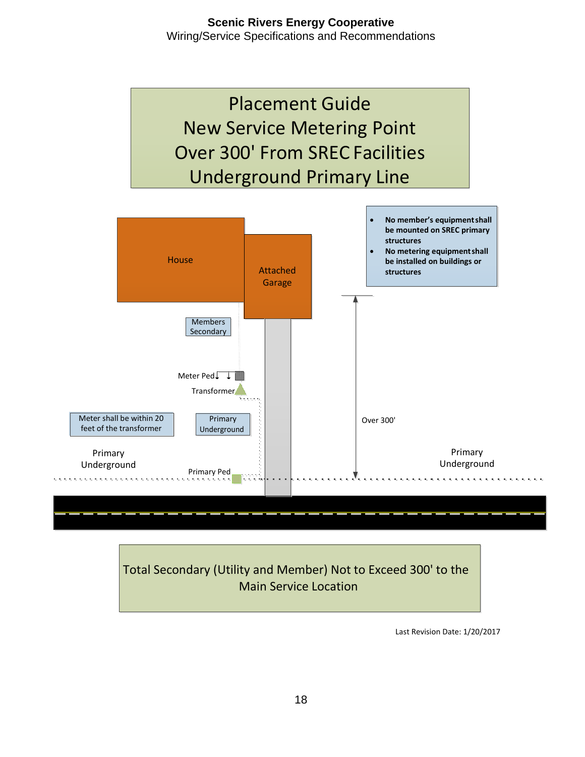



Last Revision Date: 1/20/2017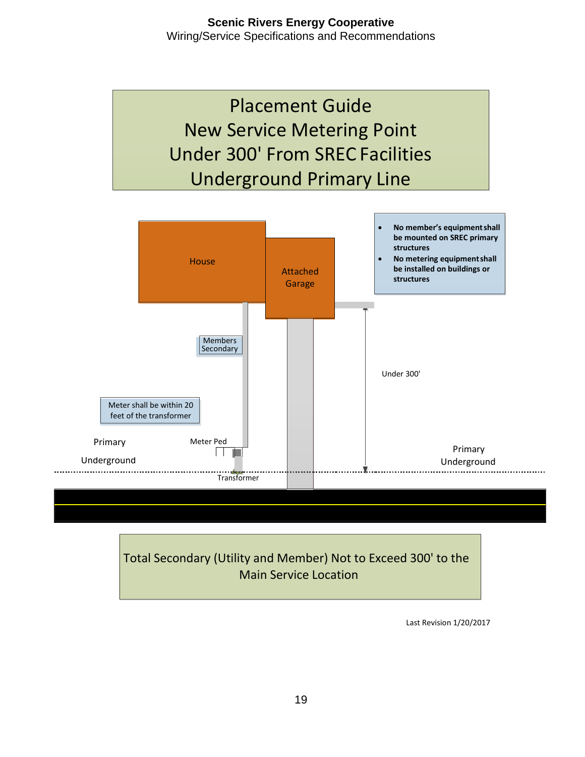



Last Revision 1/20/2017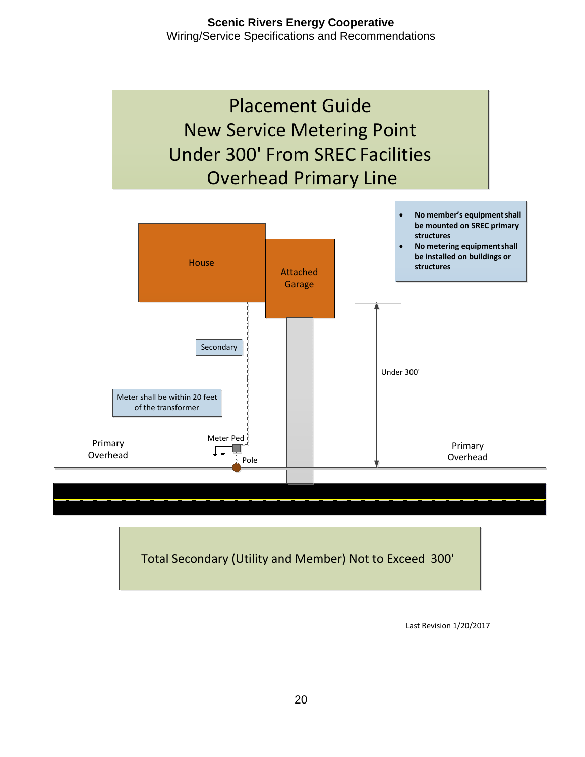

Total Secondary (Utility and Member) Not to Exceed 300'

Last Revision 1/20/2017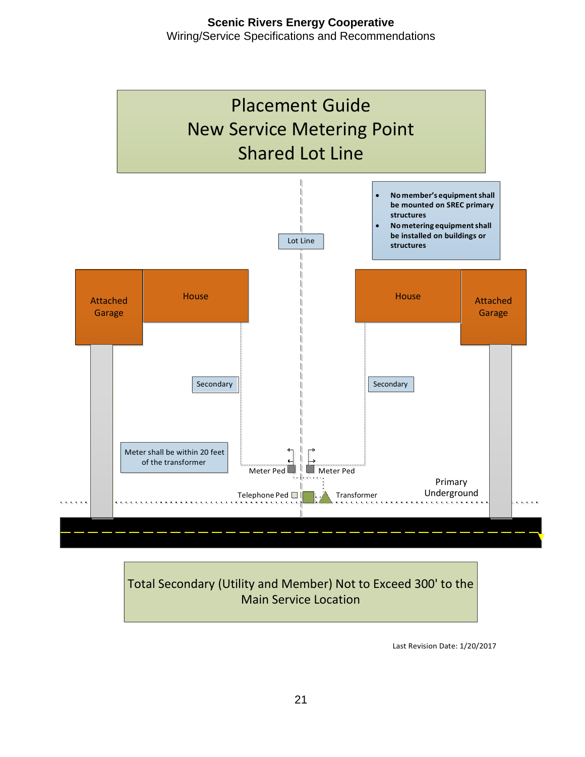

Last Revision Date: 1/20/2017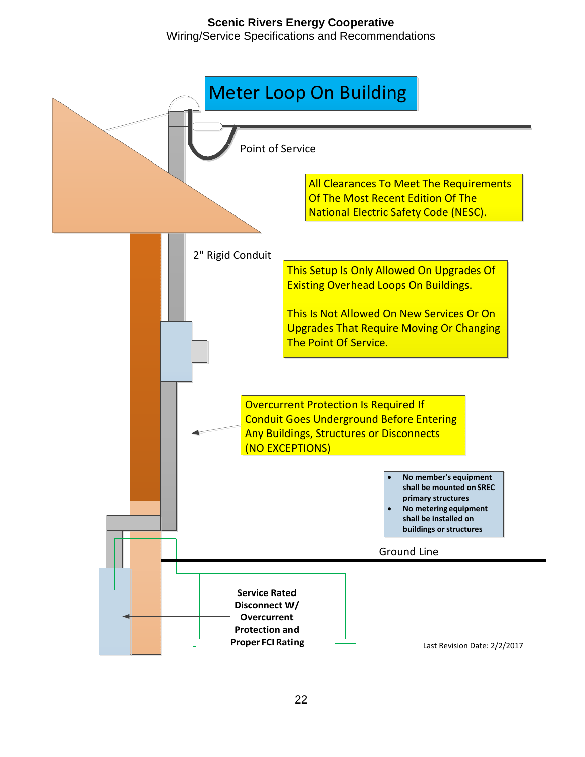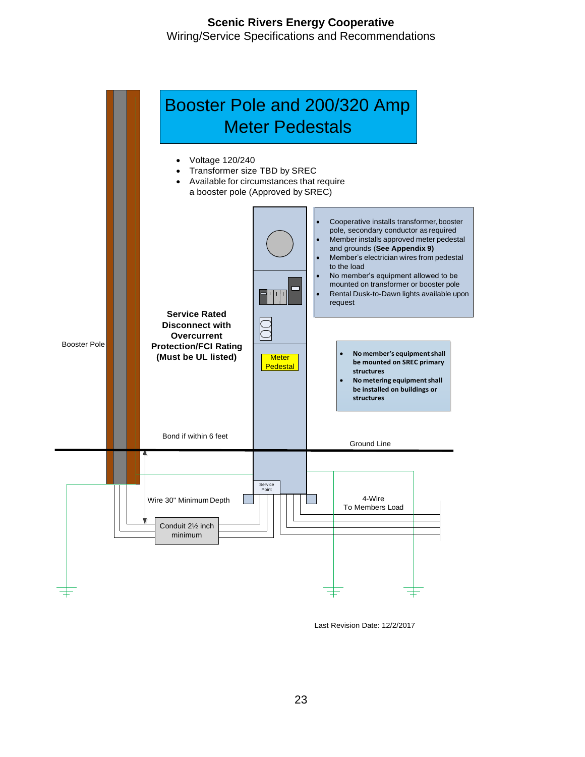

Last Revision Date: 12/2/2017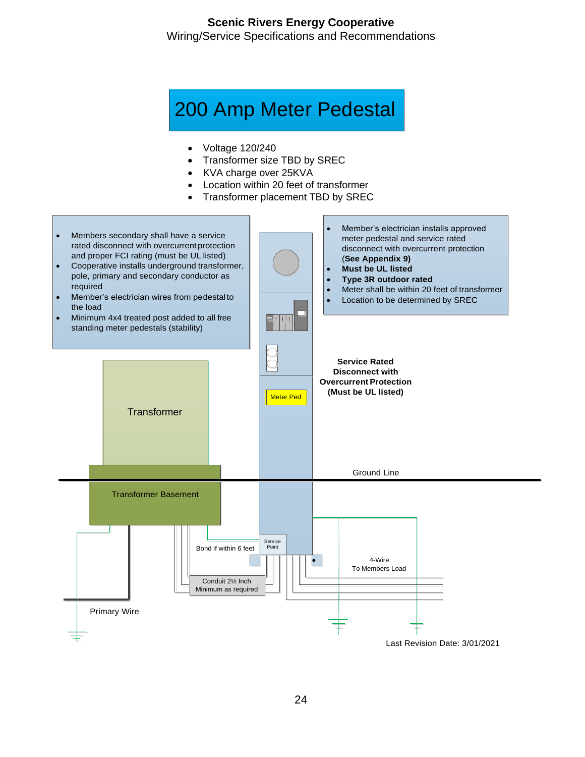## 200 Amp Meter Pedestal

- Voltage 120/240
- Transformer size TBD by SREC
- KVA charge over 25KVA
- Location within 20 feet of transformer
- Transformer placement TBD by SREC

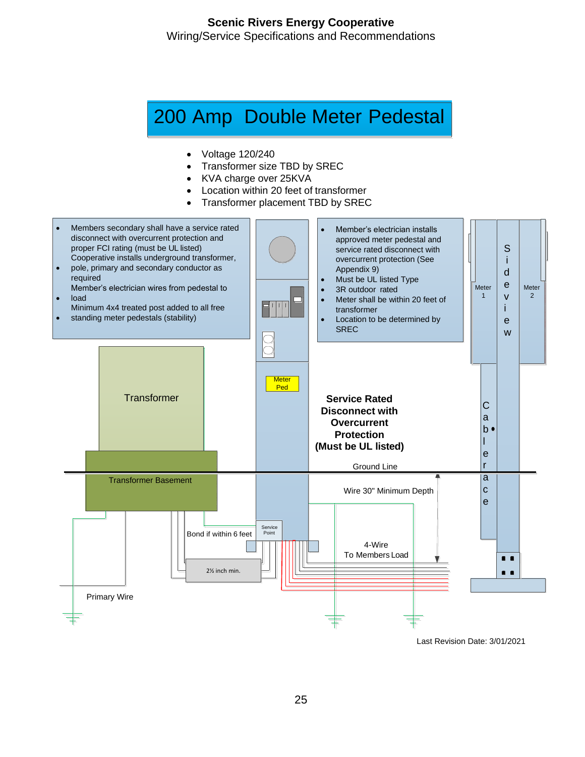## 200 Amp Double Meter Pedestal

- Voltage 120/240
- Transformer size TBD by SREC
- KVA charge over 25KVA
- Location within 20 feet of transformer
- Transformer placement TBD by SREC



Last Revision Date: 3/01/2021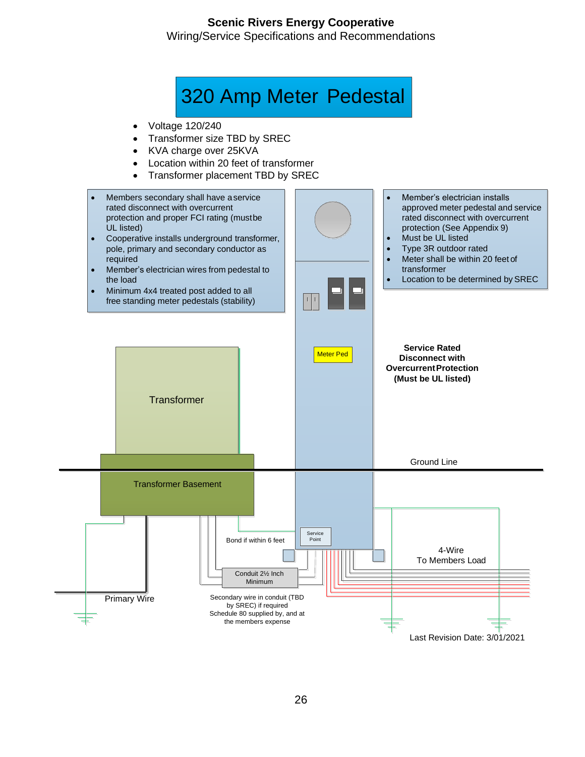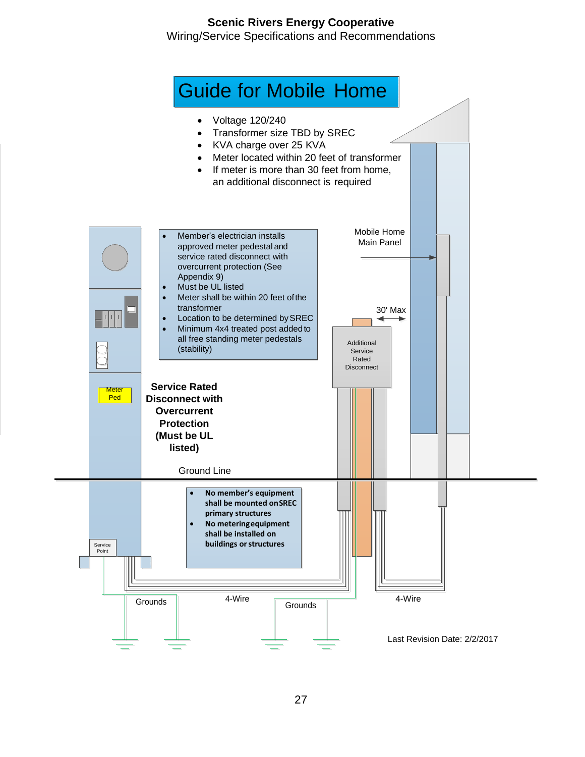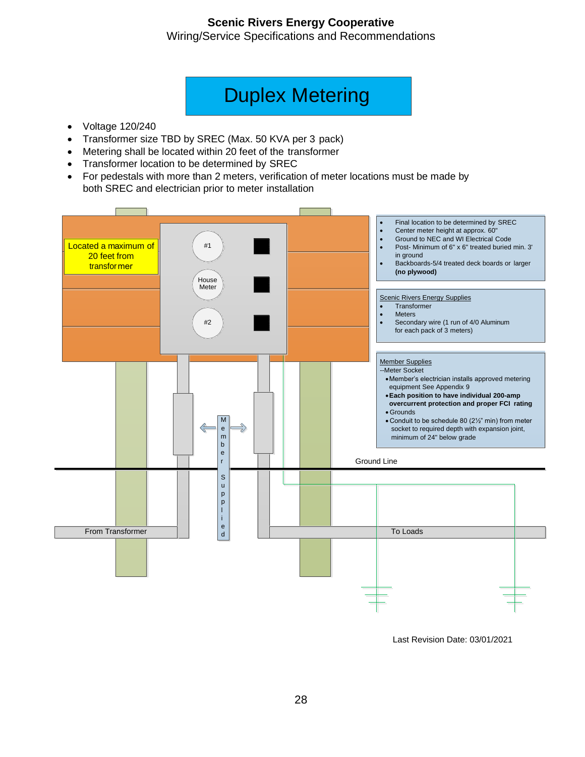Wiring/Service Specifications and Recommendations

## Duplex Metering

- Voltage 120/240
- Transformer size TBD by SREC (Max. 50 KVA per 3 pack)
- Metering shall be located within 20 feet of the transformer
- Transformer location to be determined by SREC
- For pedestals with more than 2 meters, verification of meter locations must be made by both SREC and electrician prior to meter installation



Last Revision Date: 03/01/2021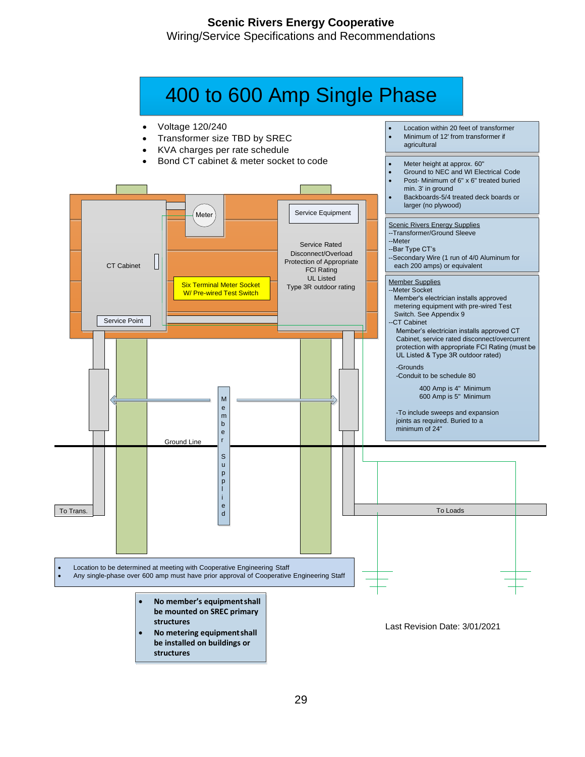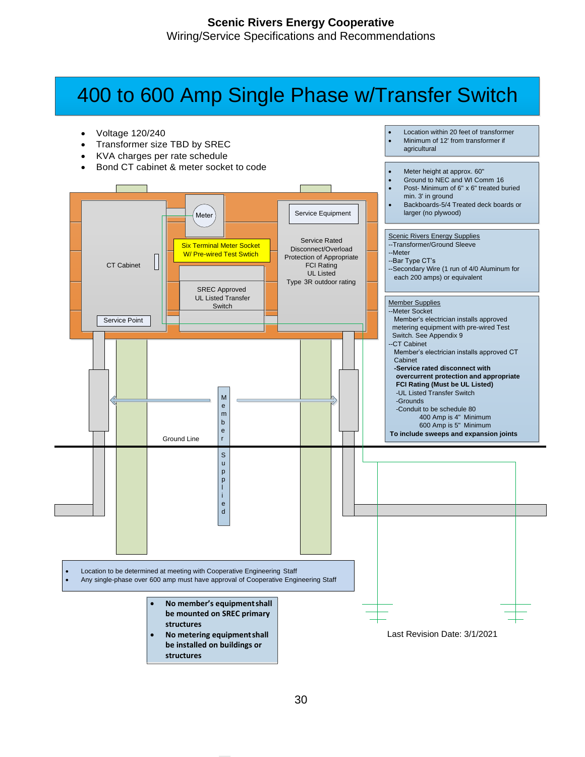# 400 to 600 Amp Single Phase w/Transfer Switch

• Location within 20 feet of transformer • Minimum of 12' from transformer if

agricultural

- Voltage 120/240
- Transformer size TBD by SREC
- KVA charges per rate schedule
- Bond CT cabinet & meter socket to code

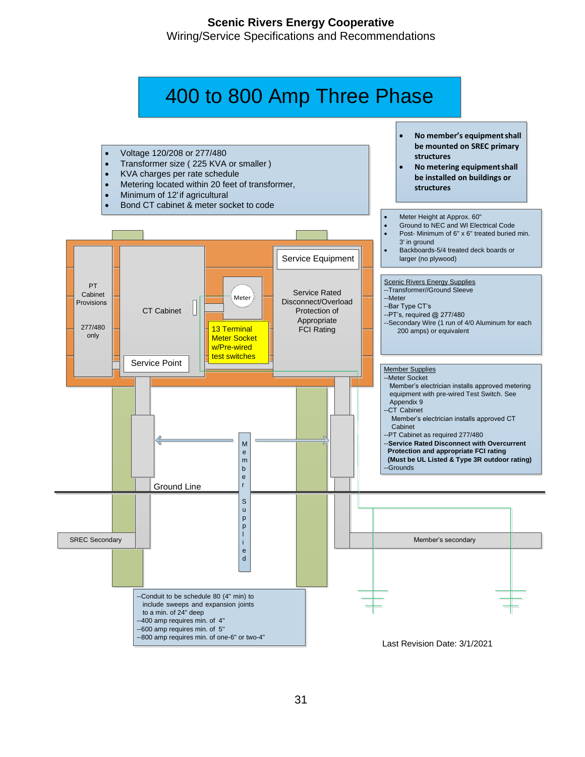